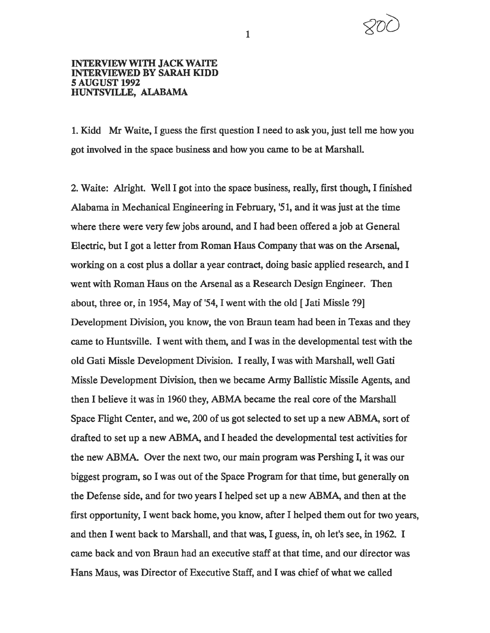

## INTERVIEW WITH JACK WAITE INTERVIEWED BY SARAH KIDD *S* AUGUST 1992 HUNTSVILLE, ALABAMA

1. Kidd Mr Waite, I guess the first question I need to ask you, just tell me how you got involved in the space business and how you came to be at Marshall.

2. Waite: Alright. Well I got into the space business, really, first though, I finished Alabama in Mechanical Engineering in February, '51, and it was just at the time where there were very few jobs around, and I had been offered a job at General Electric, but I got a letter from Roman Haus Company that was on the Arsenal, working on a cost plus a dollar a year contract, doing basic applied research, and I went with Roman Haus on the Arsenal as a Research Design Engineer. Then about, three or, in 1954, May of '54, I went with the old [ Jati Missie ?9] Development Division, you know, the von Braun team had been in Texas and they came to Huntsville. I went with them, and I was in the developmental test with the old Gati Missie Development Division. I really, I was with Marshall, well Gati Missie Development Division, then we became Army Ballistic Missile Agents, and then I believe it was in 1960 they, ABMA became the real core of the Marshall Space Flight Center, and we, 200 of us got selected to set up a new ABMA, sort of drafted to set up a new ABMA, and I headed the developmental test activities for the new ABMA. Over the next two, our main program was Pershing I, it was our biggest program, so I was out of the Space Program for that time, but generally on the Defense side, and for two years I helped set up a new ABMA, and then at the first opportunity, I went back home, you know, after I helped them out for two years, and then I went back to Marshall, and that was, I guess, in, oh let's see, in 1962. I came back and von Braun had an executive staff at that time, and our director was Hans Maus, was Director of Executive Staff, and I was chief of what we called

1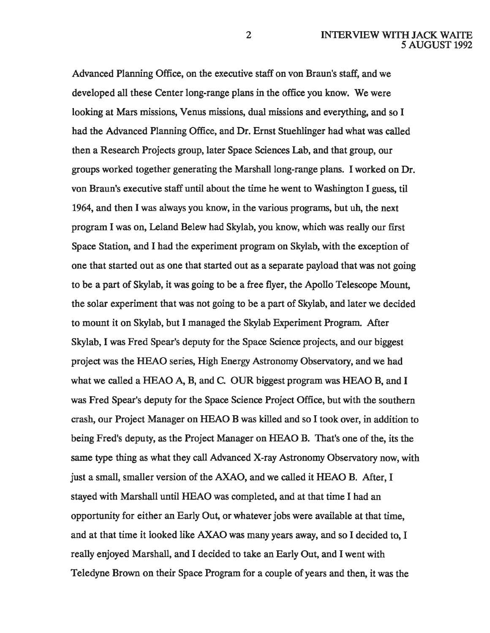Advanced Planning Office, on the executive staff on von Braun's staff, and we developed all these Center long-range plans in the office you know. We were looking at Mars missions, Venus missions, dual missions and everything, and so I had the Advanced Planning Office, and Dr. Ernst Stuehlinger had what was called then a Research Projects group, later Space Sciences Lab, and that group, our groups worked together generating the Marshall long-range plans. I worked on Dr. von Braun's executive staff until about the time he went to Washington I guess, til 1964, and then I was always you know, in the various programs, but uh, the next program I was on, Leland Belew had Skylab, you know, which was really our first Space Station, and I had the experiment program on Skylab, with the exception of one that started out as one that started out as a separate payload that was not going to be a part of Skylab, it was going to be a free flyer, the Apollo Telescope Mount, the solar experiment that was not going to be a part of Skylab, and later we decided to mount it on Skylab, but I managed the Skylab Experiment Program. After Skylab, I was Fred Spear's deputy for the Space Science projects, and our biggest project was the HEAO series, High Energy Astronomy Observatory, and we had what we called a HEAO A, B, and C. OUR biggest program was HEAO B, and I was Fred Spear's deputy for the Space Science Project Office, but with the southern crash, our Project Manager on HEAO B was killed and so I took over, in addition to being Fred's deputy, as the Project Manager on HEAO B. That's one of the, its the same type thing as what they call Advanced X-ray Astronomy Observatory now, with just a small, smaller version of the AXAO, and we called it HEAO B. After, I stayed with Marshall until HEAO was completed, and at that time I had an opportunity for either an Early Out, or whatever jobs were available at that time, and at that time it looked like AXAO was many years away, and so I decided to, I really enjoyed Marshall, and I decided to take an Early Out, and I went with Teledyne Brown on their Space Program for a couple of years and then, it was the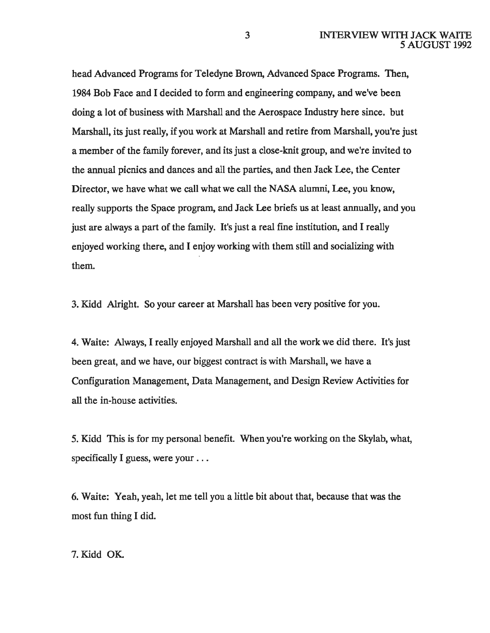head Advanced Programs for Teledyne Brown, Advanced Space Programs. Then, 1984 Bob Face and I decided to form and engineering company, and we've been doing a lot of business with Marshall and the Aerospace Industry here since. but Marshall, its just really, if you work at Marshall and retire from Marshall, you're just a member of the family forever, and its just a close-knit group, and we're invited to the annual picnics and dances and all the parties, and then Jack Lee, the Center Director, we have what we call what we call the NASA alumni, Lee, you know, really supports the Space program, and Jack Lee briefs us at least annually, and you just are always a part of the family. It's just a real fine institution, and I really enjoyed working there, and I enjoy working with them still and socializing with them.

3. Kidd Alright. So your career at Marshall has been very positive for you.

4. Waite: Always, I really enjoyed Marshall and all the work we did there. It's just been great, and we have, our biggest contract is with Marshall, we have a Configuration Management, Data Management, and Design Review Activities for all the in-house activities.

5. Kidd This is for my personal benefit. When you're working on the Skylab, what, specifically I guess, were your ...

6. Waite: Yeah, yeah, let me tell you a little bit about that, because that was the most fun thing I did.

7.Kidd OK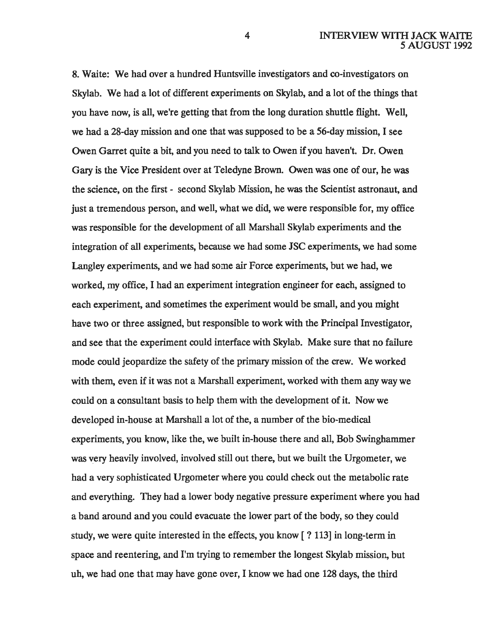8. Waite: We had over a hundred Huntsville investigators and co-investigators on Skylab. We had a lot of different experiments on Skylab, and a lot of the things that you have now, is all, we're getting that from the long duration shuttle flight. Well, we had a 28-day mission and one that was supposed to be a 56-day mission, I see Owen Garret quite a bit, and you need to talk to Owen if you haven't. Dr. Owen Gary is the Vice President over at Teledyne Brown. Owen was one of our, he was the science, on the first - second Skylab Mission, he was the Scientist astronaut, and just a tremendous person, and well, what we did, we were responsible for, my office was responsible for the development of all Marshall Skylab experiments and the integration of all experiments, because we had some JSC experiments, we had some Langley experiments, and we had some air Force experiments, but we had, we worked, my office, I had an experiment integration engineer for each, assigned to each experiment, and sometimes the experiment would be small, and you might have two or three assigned, but responsible to work with the Principal Investigator, and see that the experiment could interface with Skylab. Make sure that no failure mode could jeopardize the safety of the primary mission of the crew. We worked with them, even if it was not a Marshall experiment, worked with them any way we could on a consultant basis to help them with the development of it. Now we developed in-house at Marshall a lot of the, a number of the bio-medical experiments, you know, like the, we built in-house there and all, Bob Swinghammer was very heavily involved, involved still out there, but we built the Urgometer, we had a very sophisticated Urgometer where you could check out the metabolic rate and everything. They had a lower body negative pressure experiment where you had a band around and you could evacuate the lower part of the body, so they could study, we were quite interested in the effects, you know [? 113] in long-term in space and reentering, and I'm trying to remember the longest Skylab mission, but uh, we had one that may have gone over, I know we had one 128 days, the third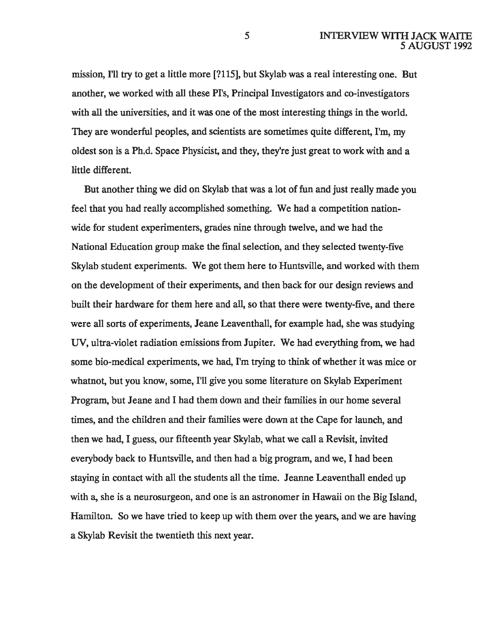mission, I'll try to get a little more [?115], but Skylab was a real interesting one. But another, we worked with all these Pl's, Principal Investigators and co-investigators with all the universities, and it was one of the most interesting things in the world. They are wonderful peoples, and scientists are sometimes quite different, I'm, my oldest son is a Ph.d. Space Physicist, and they, they're just great to work with and a little different.

But another thing we did on Skylab that was a lot of fun and just really made you feel that you had really accomplished something. We had a competition nationwide for student experimenters, grades nine through twelve, and we had the National Education group make the final selection, and they selected twenty-five Skylab student experiments. We got them here to Huntsville, and worked with them on the development of their experiments, and then back for our design reviews and built their hardware for them here and all, so that there were twenty-five, and there were all sorts of experiments, Jeane Leaventhall, for example had, she was studying UV, ultra-violet radiation emissions from Jupiter. We had everything from, we had some bio-medical experiments, we had, I'm trying to think of whether it was mice or whatnot, but you know, some, I'll give you some literature on Skylab Experiment Program, but Jeane and I had them down and their families in our home several times, and the children and their families were down at the Cape for launch, and then we had, I guess, our fifteenth year Skylab, what we call a Revisit, invited everybody back to Huntsville, and then had a big program, and we, I had been staying in contact with all the students all the time. Jeanne Leaventhall ended up with a, she is a neurosurgeon, and one is an astronomer in Hawaii on the Big Island, Hamilton. So we have tried to keep up with them over the years, and we are having a Skylab Revisit the twentieth this next year.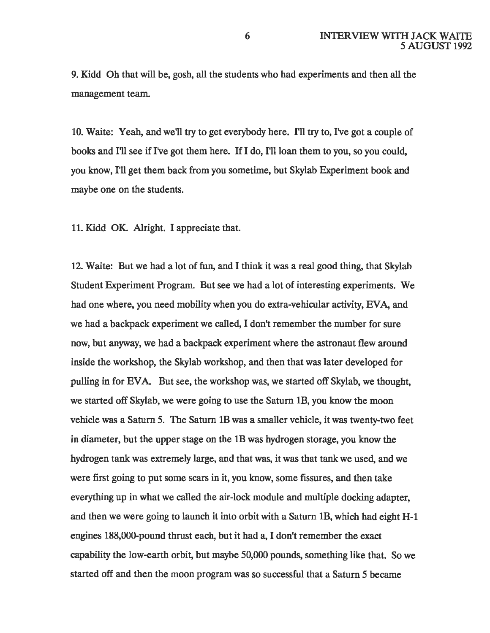9. Kidd Oh that will be, gosh, all the students who had experiments and then all the management team.

10. Waite: Yeah, and we'll try to get everybody here. I'll try to, I've got a couple of books and I'll see if I've got them here. H I do, I'll loan them to you, so you could, you know, I'll get them back from you sometime, but Skylab Experiment book and maybe one on the students.

11. Kidd OK. Alright. I appreciate that.

12. Waite: But we had a lot of fun, and I think it was a real good thing, that Skylab Student Experiment Program. But see we had a lot of interesting experiments. We had one where, you need mobility when you do extra-vehicular activity, EVA, and we had a backpack experiment we called, I don't remember the number for sure now, but anyway, we had a backpack experiment where the astronaut flew around inside the workshop, the Skylab workshop, and then that was later developed for pulling in for EVA. But see, the workshop was, we started off Skylab, we thought, we started off Skylab, we were going to use the Saturn lB, you know the moon vehicle was a Saturn 5. The Saturn lB was a smaller vehicle, it was twenty-two feet in diameter, but the upper stage on the lB was hydrogen storage, you know the hydrogen tank was extremely large, and that was, it was that tank we used, and we were first going to put some scars in it, you know, some fissures, and then take everything up in what we called the air-lock module and multiple docking adapter, and then we were going to launch it into orbit with a Saturn lB, which had eight H-1 engines 188,000-pound thrust each, but it had a, I don't remember the exact capability the low-earth orbit, but maybe 50,000 pounds, something like that. So we started off and then the moon program was so successful that a Saturn 5 became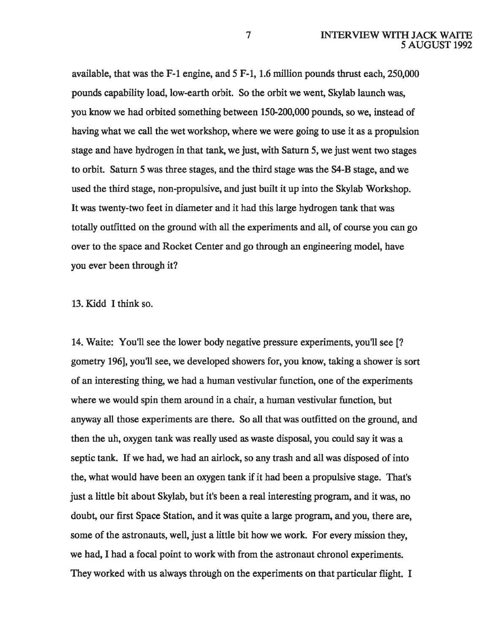available, that was the F-1 engine, and 5 F-1, 1.6 million pounds thrust each, 250,000 pounds capability load, low-earth orbit. So the orbit we went, Skylab launch was, you know we had orbited something between 150-200,000 pounds, so we, instead of having what we call the wet workshop, where we were going to use it as a propulsion stage and have hydrogen in that tank, we just, with Saturn 5, we just went two stages to orbit. Saturn 5 was three stages, and the third stage was the S4-B stage, and we used the third stage, non-propulsive, and just built it up into the Skylab Workshop. It was twenty-two feet in diameter and it had this large hydrogen tank that was totally outfitted on the ground with all the experiments and all, of course you can go over to the space and Rocket Center and go through an engineering model, have you ever been through it?

13. Kidd I think so.

14. Waite: You'll see the lower body negative pressure experiments, you'll see[? gometry 196], you'll see, we developed showers for, you know, taking a shower is sort of an interesting thing, we had a human vestivular function, one of the experiments where we would spin them around in a chair, a human vestivular function, but anyway all those experiments are there. So all that was outfitted on the ground, and then the uh, oxygen tank was really used as waste disposal, you could say it was a septic tank. If we had, we had an airlock, so any trash and all was disposed of into the, what would have been an oxygen tank if it had been a propulsive stage. That's just a little bit about Skylab, but it's been a real interesting program, and it was, no doubt, our first Space Station, and it was quite a large program, and you, there are, some of the astronauts, well, just a little bit how we work. For every mission they, we had, I had a focal point to work with from the astronaut chronol experiments. They worked with us always through on the experiments on that particular flight. I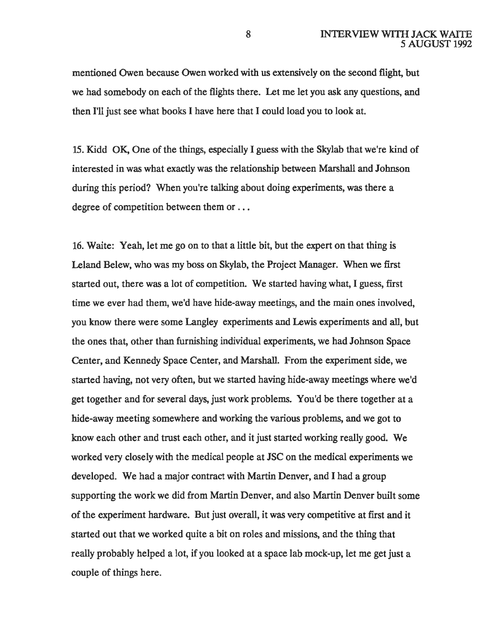mentioned Owen because Owen worked with us extensively on the second flight, but we had somebody on each of the flights there. Let me let you ask any questions, and then I'll just see what books I have here that I could load you to look at.

15. Kidd OK, One of the things, especially I guess with the Skylab that we're kind of interested in was what exactly was the relationship between Marshall and Johnson during this period? When you're talking about doing experiments, was there a degree of competition between them or ...

16. Waite: Yeah, let me go on to that a little bit, but the expert on that thing is Leland Belew, who was my boss on Skylab, the Project Manager. When we first started out, there was a lot of competition. We started having what, I guess, first time we ever had them, we'd have hide-away meetings, and the main ones involved, you know there were some Langley experiments and Lewis experiments and all, but the ones that, other than furnishing individual experiments, we had Johnson Space Center, and Kennedy Space Center, and Marshall. From the experiment side, we started having, not very often, but we started having hide-away meetings where we'd get together and for several days, just work problems. You'd be there together at a hide-away meeting somewhere and working the various problems, and we got to know each other and trust each other, and it just started working really good. We worked very closely with the medical people at JSC on the medical experiments we developed. We had a major contract with Martin Denver, and I had a group supporting the work we did from Martin Denver, and also Martin Denver built some of the experiment hardware. But just overall, it was very competitive at first and it started out that we worked quite a bit on roles and missions, and the thing that really probably helped a lot, if you looked at a space lab mock-up, let me get just a couple of things here.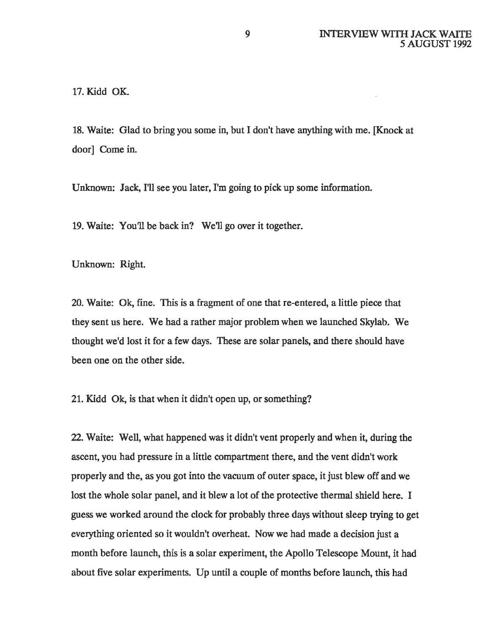17. Kidd OK.

18. Waite: Glad to bring you some in, but I don't have anything with me. [Knock at door] Come in.

Unknown: Jack, I'll see you later, I'm going to pick up some information.

19. Waite: You'll be back in? We'll go over it together.

Unknown: Right.

20. Waite: Ok, fine. This is a fragment of one that re-entered, a little piece that they sent us here. We had a rather major problem when we launched Skylab. We thought we'd lost it for a few days. These are solar panels, and there should have been one on the other side.

21. Kidd Ok, is that when it didn't open up, or something?

22. Waite: Well, what happened was it didn't vent properly and when it, during the ascent, you had pressure in a little compartment there, and the vent didn't work properly and the, as you got into the vacuum of outer space, it just blew off and we lost the whole solar panel, and it blew a lot of the protective thermal shield here. I guess we worked around the clock for probably three days without sleep trying to get everything oriented so it wouldn't overheat. Now we had made a decision just a month before launch, this is a solar experiment, the Apollo Telescope Mount, it had about five solar experiments. Up until a couple of months before launch, this had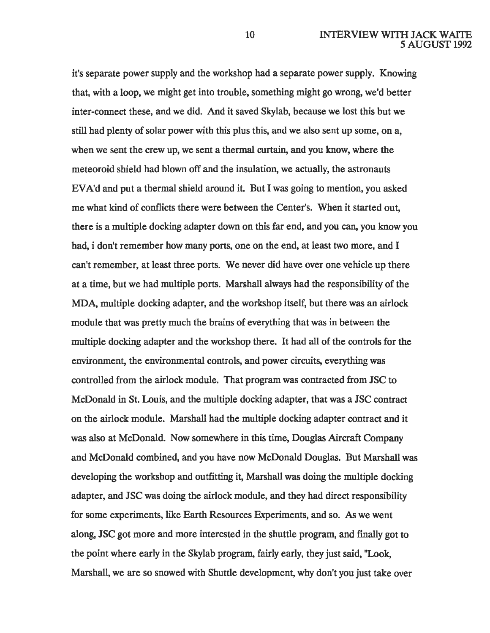it's separate power supply and the workshop had a separate power supply. Knowing that, with a loop, we might get into trouble, something might go wrong, we'd better inter-connect these, and we did. And it saved Skylab, because we lost this but we still had plenty of solar power with this plus this, and we also sent up some, on a, when we sent the crew up, we sent a thermal curtain, and you know, where the meteoroid shield had blown off and the insulation, we actually, the astronauts EV A'd and put a thermal shield around it. But I was going to mention, you asked me what kind of conflicts there were between the Center's. When it started out, there is a multiple docking adapter down on this far end, and you can, you know you had, i don't remember how many ports, one on the end, at least two more, and I can't remember, at least three ports. We never did have over one vehicle up there at a time, but we had multiple ports. Marshall always had the responsibility of the MDA, multiple docking adapter, and the workshop itself, but there was an airlock module that was pretty much the brains of everything that was in between the multiple docking adapter and the workshop there. It had all of the controls for the environment, the environmental controls, and power circuits, everything was controlled from the airlock module. That program was contracted from JSC to McDonald in St. Louis, and the multiple docking adapter, that was a JSC contract on the airlock module. Marshall had the multiple docking adapter contract and it was also at McDonald. Now somewhere in this time, Douglas Aircraft Company and McDonald combined, and you have now McDonald Douglas. But Marshall was developing the workshop and outfitting it, Marshall was doing the multiple docking adapter, and JSC was doing the airlock module, and they had direct responsibility for some experiments, like Earth Resources Experiments, and so. As we went along, JSC got more and more interested in the shuttle program, and finally got to the point where early in the Skylab program, fairly early, they just said, "Look, Marshall, we are so snowed with Shuttle development, why don't you just take over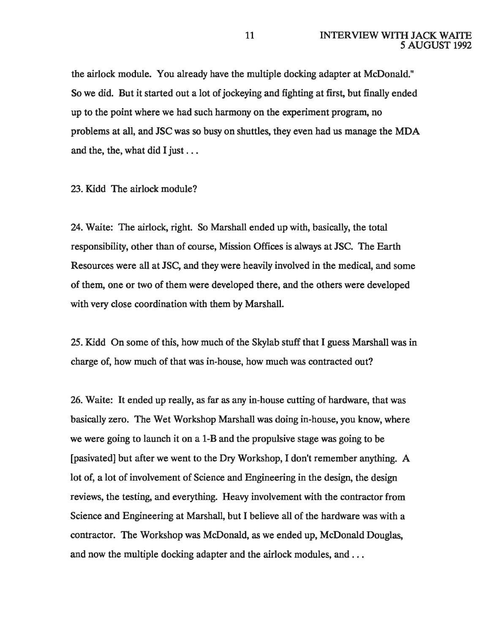the airlock module. You already have the multiple docking adapter at McDonald." So we did. But it started out a lot of jockeying and fighting at first, but finally ended up to the point where we had such harmony on the experiment program, no problems at all, and JSC was so busy on shuttles, they even had us manage the MDA and the, the, what did I just ...

23. Kidd The airlock module?

24. Waite: The airlock, right. So Marshall ended up with, basically, the total responsibility, other than of course, Mission Offices is always at JSC. The Earth Resources were all at JSC, and they were heavily involved in the medical, and some of them, one or two of them were developed there, and the others were developed with very close coordination with them by Marshall.

25. Kidd On some of this, how much of the Skylab stuff that I guess Marshall was in charge of, how much of that was in-house, how much was contracted out?

26. Waite: It ended up really, as far as any in-house cutting of hardware, that was basically zero. The Wet Workshop Marshall was doing in-house, you know, where we were going to launch it on a 1-B and the propulsive stage was going to be [pasivated] but after we went to the Dry Workshop, I don't remember anything. A lot of, a lot of involvement of Science and Engineering in the design, the design reviews, the testing, and everything. Heavy involvement with the contractor from Science and Engineering at Marshall, but I believe all of the hardware was with a contractor. The Workshop was McDonald, as we ended up, McDonald Douglas, and now the multiple docking adapter and the airlock modules, and ...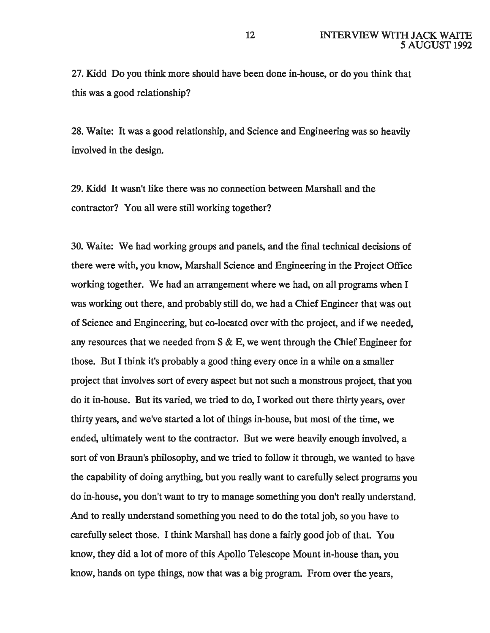27. Kidd Do you think more should have been done in-house, or do you think that this was a good relationship?

28. Waite: It was a good relationship, and Science and Engineering was so heavily involved in the design.

29. Kidd It wasn't like there was no connection between Marshall and the contractor? You all were still working together?

30. Waite: We had working groups and panels, and the final technical decisions of there were with, you know, Marshall Science and Engineering in the Project Office working together. We had an arrangement where we had, on all programs when I was working out there, and probably still do, we had a Chief Engineer that was out of Science and Engineering, but co-located over with the project, and if we needed, any resources that we needed from S & E, we went through the Chief Engineer for those. But I think it's probably a good thing every once in a while on a smaller project that involves sort of every aspect but not such a monstrous project, that you do it in-house. But its varied, we tried to do, I worked out there thirty years, over thirty years, and we've started a lot of things in-house, but most of the time, we ended, ultimately went to the contractor. But we were heavily enough involved, a sort of von Braun's philosophy, and we tried to follow it through, we wanted to have the capability of doing anything, but you really want to carefully select programs you do in-house, you don't want to try to manage something you don't really understand. And to really understand something you need to do the total job, so you have to carefully select those. I think Marshall has done a fairly good job of that. You know, they did a lot of more of this Apollo Telescope Mount in-house than, you know, hands on type things, now that was a big program. From over the years,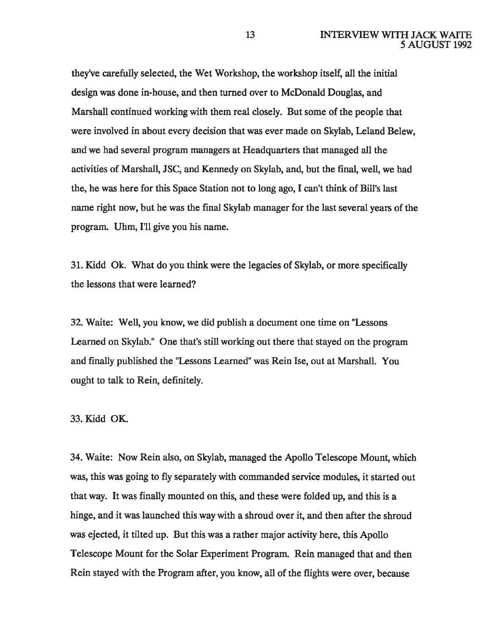they've carefully selected, the Wet Workshop, the workshop itself, all the initial design was done in-house, and then turned over to McDonald Douglas, and Marshall continued working with them real closely. But some of the people that were involved in about every decision that was ever made on Skylab, Leland Belew, and we had several program managers at Headquarters that managed all the activities of Marshall, JSC, and Kennedy on Skylab, and, but the final, well, we had the, he was here for this Space Station not to long ago, I can't think of Bill's last name right now, but he was the final Skylab manager for the last several years of the program. Uhm, I'll give you his name.

31. Kidd Ok. What do you think were the legacies of Skylab, or more specifically the lessons that were learned?

32. Waite: Well, you know, we did publish a document one time on "Lessons Learned on Skylab." One that's still working out there that stayed on the program and finally published the "Lessons Learned" was Rein Ise, out at Marshall. You ought to talk to Rein, definitely.

## 33. Kidd OK.

34. Waite: Now Rein also, on Skylab, managed the Apollo Telescope Mount, which was, this was going to fly separately with commanded service modules, it started out that way. It was finally mounted on this, and these were folded up, and this is a hinge, and it was launched this way with a shroud over it, and then after the shroud was ejected, it tilted up. But this was a rather major activity here, this Apollo Telescope Mount for the Solar Experiment Program. Rein managed that and then Rein stayed with the Program after, you know, all of the flights were over, because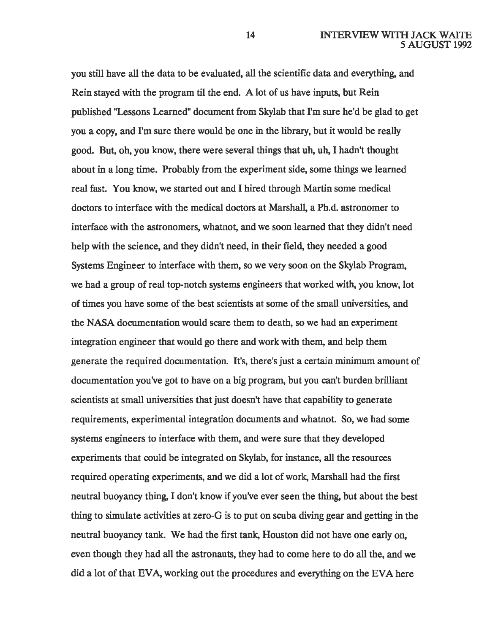you still have all the data to be evaluated, all the scientific data and everything, and Rein stayed with the program til the end. A lot of us have inputs, but Rein published "Lessons Learned" document from Skylab that I'm sure he'd be glad to get you a copy, and I'm sure there would be one in the library, but it would be really good. But, oh, you know, there were several things that uh, uh, I hadn't thought about in a long time. Probably from the experiment side, some things we learned real fast. You know, we started out and I hired through Martin some medical doctors to interface with the medical doctors at Marshall, a Ph.d. astronomer to interface with the astronomers, whatnot, and we soon learned that they didn't need help with the science, and they didn't need, in their field, they needed a good Systems Engineer to interface with them, so we very soon on the Skylab Program, we had a group of real top-notch systems engineers that worked with, you know, lot of times you have some of the best scientists at some of the small universities, and the NASA documentation would scare them to death, so we had an experiment integration engineer that would go there and work with them, and help them generate the required documentation. It's, there's just a certain minimum amount of documentation you've got to have on a big program, but you can't burden brilliant scientists at small universities that just doesn't have that capability to generate requirements, experimental integration documents and whatnot. So, we had some systems engineers to interface with them, and were sure that they developed experiments that could be integrated on Skylab, for instance, all the resources required operating experiments, and we did a lot of work, Marshall had the first neutral buoyancy thing, I don't know if you've ever seen the thing, but about the best thing to simulate activities at zero-G is to put on scuba diving gear and getting in the neutral buoyancy tank. We had the first tank, Houston did not have one early on, even though they had all the astronauts, they had to come here to do all the, and we did a lot of that EVA, working out the procedures and everything on the EVA here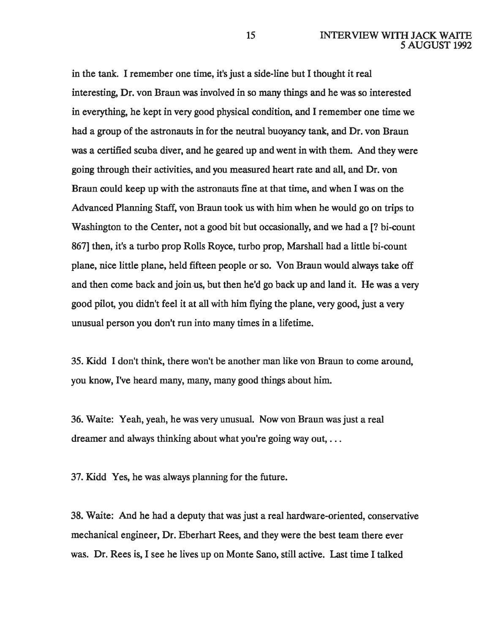in the tank. I remember one time, it's just a side-line but I thought it real interesting, Dr. van Braun was involved in so many things and he was so interested in everything, he kept in very good physical condition, and I remember one time we had a group of the astronauts in for the neutral buoyancy tank, and Dr. von Braun was a certified scuba diver, and he geared up and went in with them. And they were going through their activities, and you measured heart rate and all, and Dr. van Braun could keep up with the astronauts fine at that time, and when I was on the Advanced Planning Staff, von Braun took us with him when he would go on trips to Washington to the Center, not a good bit but occasionally, and we had a [? bi-count 867] then, it's a turbo prop Rolls Royce, turbo prop, Marshall had a little bi-count plane, nice little plane, held fifteen people or so. Von Braun would always take off and then come back and join.us, but then he'd go back up and land it. He was a very good pilot, you didn't feel it at all with him flying the plane, very good, just a very unusual person you don't run into many times in a lifetime.

35. Kidd I don't think, there won't be another man like von Braun to come around, you know, I've heard many, many, many good things about him.

36. Waite: Yeah, yeah, he was very unusual. Now von Braun was just a real dreamer and always thinking about what you're going way out, ...

37. Kidd Yes, he was always planning for the future.

38. Waite: And he had a deputy that was just a real hardware-oriented, conservative mechanical engineer, Dr. Eberhart Rees, and they were the best team there ever was. Dr. Rees is, I see he lives up on Monte Sano, still active. Last time I talked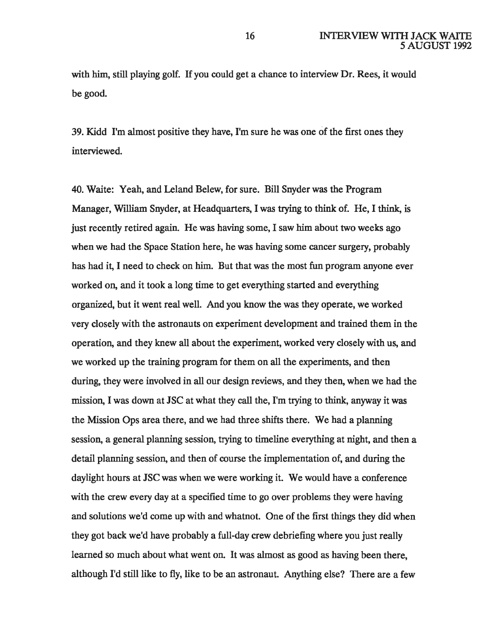with him, still playing golf. If you could get a chance to interview Dr. Rees, it would be good.

39. Kidd I'm almost positive they have, I'm sure he was one of the first ones they interviewed.

40. Waite: Yeah, and Leland Belew, for sure. Bill Snyder was the Program Manager, William Snyder, at Headquarters, I was trying to think of. He, I think, is just recently retired again. He was having some, I saw him about two weeks ago when we had the Space Station here, he was having some cancer surgery, probably has had it, I need to check on him. But that was the most fun program anyone ever worked on, and it took a long time to get everything started and everything organized, but it went real well. And you know the was they operate, we worked very closely with the astronauts on experiment development and trained them in the operation, and they knew all about the experiment, worked very closely with us, and we worked up the training program for them on all the experiments, and then during, they were involved in all our design reviews, and they then, when we had the mission, I was down at JSC at what they call the, I'm trying to think, anyway it was the Mission Ops area there, and we had three shifts there. We had a planning session, a general planning session, trying to timeline everything at night, and then a detail planning session, and then of course the implementation of, and during the daylight hours at JSC was when we were working it. We would have a conference with the crew every day at a specified time to go over problems they were having and solutions we'd come up with and whatnot. One of the first things they did when they got back we'd have probably a full-day crew debriefing where you just really learned so much about what went on. It was almost as good as having been there, although I'd still like to fly, like to be an astronaut. Anything else? There are a few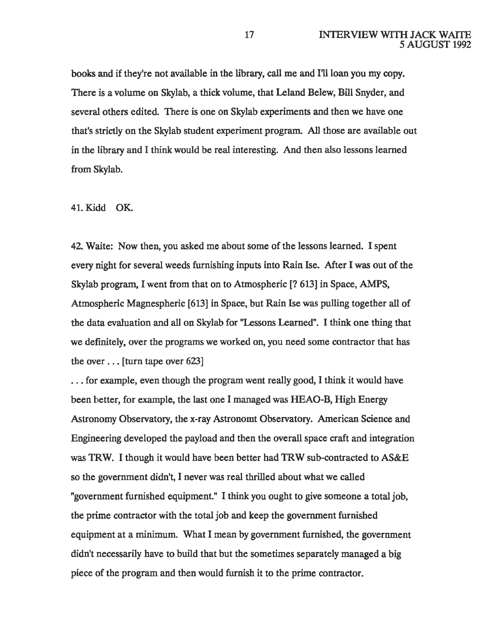books and if they're not available in the library, call me and I'll loan you my copy. There is a volume on Skylab, a thick volume, that Leland Belew, Bill Snyder, and several others edited. There is one on Skylab experiments and then we have one that's strictly on the Skylab student experiment program. All those are available out in the library and I think would be real interesting. And then also lessons learned from Skylab.

## 41. Kidd OK.

42. Waite: Now then, you asked me about some of the lessons learned. I spent every night for several weeds furnishing inputs into Rain lse. After I was out of the Skylab program, I went from that on to Atmospheric [? 613] in Space, AMPS, Atmospheric Magnespheric [613] in Space, but Rain Ise was pulling together all of the data evaluation and all on Skylab for "Lessons Learned". I think one thing that we definitely, over the programs we worked on, you need some contractor that has the over ... [turn tape over 623]

... for example, even though the program went really good, I think it would have been better, for example, the last one I managed was HEAO-B, High Energy Astronomy Observatory, the x-ray Astronomt Observatory. American Science and Engineering developed the payload and then the overall space craft and integration was TRW. I though it would have been better had TRW sub-contracted to AS&E so the government didn't, I never was real thrilled about what we called "government furnished equipment." I think you ought to give someone a total job, the prime contractor with the total job and keep the government furnished equipment at a minimum. What I mean by government furnished, the government didn't necessarily have to build that but the sometimes separately managed a big piece of the program and then would furnish it to the prime contractor.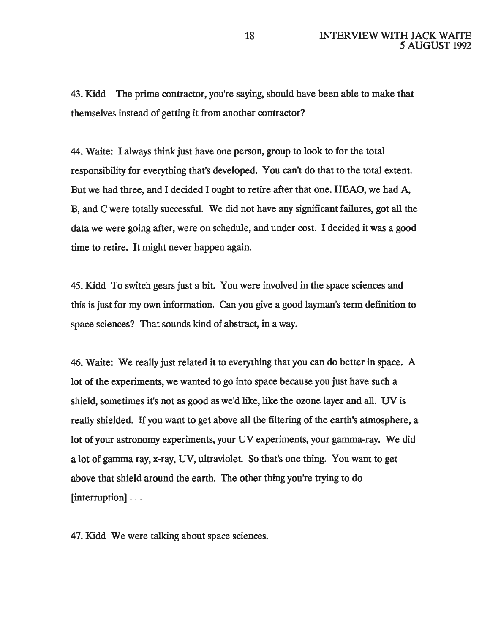43. Kidd The prime contractor, you're saying, should have been able to make that themselves instead of getting it from another contractor?

44. Waite: I always think just have one person, group to look to for the total responsibility for everything that's developed. You can't do that to the total extent. But we had three, and I decided I ought to retire after that one. HEAO, we had A, B, and C were totally successful. We did not have any significant failures, got all the data we were going after, were on schedule, and under cost. I decided it was a good time to retire. It might never happen again.

45. Kidd To switch gears just a bit. You were involved in the space sciences and this is just for my own information. Can you give a good layman's term definition to space sciences? That sounds kind of abstract, in a way.

46. Waite: We really just related it to everything that you can do better in space. A lot of the experiments, we wanted to go into space because you just have such a shield, sometimes it's not as good as we'd like, like the ozone layer and all. UV is really shielded. If you want to get above all the filtering of the earth's atmosphere, a lot of your astronomy experiments, your UV experiments, your gamma-ray. We did a lot of gamma ray, x-ray, UV, ultraviolet. So that's one thing. You want to get above that shield around the earth. The other thing you're trying to do [interruption] . . .

47. Kidd We were talking about space sciences.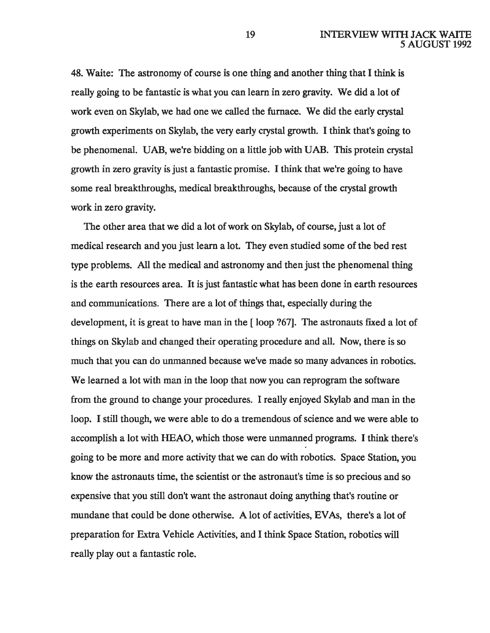48. Waite: The astronomy of course is one thing and another thing that I think is really going to be fantastic is what you can learn in zero gravity. We did a lot of work even on Skylab, we had one we called the furnace. We did the early crystal growth experiments on Skylab, the very early crystal growth. I think that's going to be phenomenal. UAB, we're bidding on a little job with UAB. This protein crystal growth in zero gravity is just a fantastic promise. I think that we're going to have some real breakthroughs, medical breakthroughs, because of the crystal growth work in zero gravity.

The other area that we did a lot of work on Skylab, of course, just a lot of medical research and you just learn a lot. They even studied some of the bed rest type problems. All the medical and astronomy and then just the phenomenal thing is the earth resources area. It is just fantastic what has been done in earth resources and communications. There are a lot of things that, especially during the development, it is great to have man in the [ loop ?67]. The astronauts fixed a lot of things on Skylab and changed their operating procedure and all. Now, there is so much that you can do unmanned because we've made so many advances in robotics. We learned a lot with man in the loop that now you can reprogram the software from the ground to change your procedures. I really enjoyed Skylab and man in the loop. I still though, we were able to do a tremendous of science and we were able to accomplish a lot with HEAO, which those were unmanned programs. I think there's going to be more and more activity that we can do with robotics. Space Station, you know the astronauts time, the scientist or the astronaut's time is so precious and so expensive that you still don't want the astronaut doing anything that's routine or mundane that could be done otherwise. A lot of activities, EV As, there's a lot of preparation for Extra Vehicle Activities, and I think Space Station, robotics will really play out a fantastic role.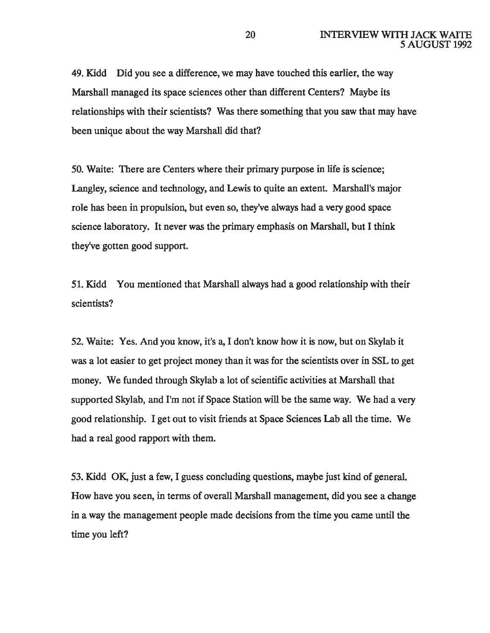49. Kidd Did you see a difference, we may have touched this earlier, the way Marshall managed its space sciences other than different Centers? Maybe its relationships with their scientists? Was there something that you saw that may have been unique about the way Marshall did that?

50. Waite: There are Centers where their primary purpose in life is science; Langley, science and technology, and Lewis to quite an extent. Marshall's major role has been in propulsion, but even so, they've always had a very good space science laboratory. It never was the primary emphasis on Marshall, but I think they've gotten good support.

51. Kidd You mentioned that Marshall always had a good relationship with their scientists?

52. Waite: Yes. And you know, it's a, I don't know how it is now, but on Skylab it was a lot easier to get project money than it was for the scientists over in SSL to get money. We funded through Skylab a lot of scientific activities at Marshall that supported Skylab, and I'm not if Space Station will be the same way. We had a very good relationship. I get out to visit friends at Space Sciences Lab all the time. We had a real good rapport with them.

53. Kidd OK, just a few, I guess concluding questions, maybe just kind of general. How have you seen, in terms of overall Marshall management, did you see a change in a way the management people made decisions from the time you came until the time you left?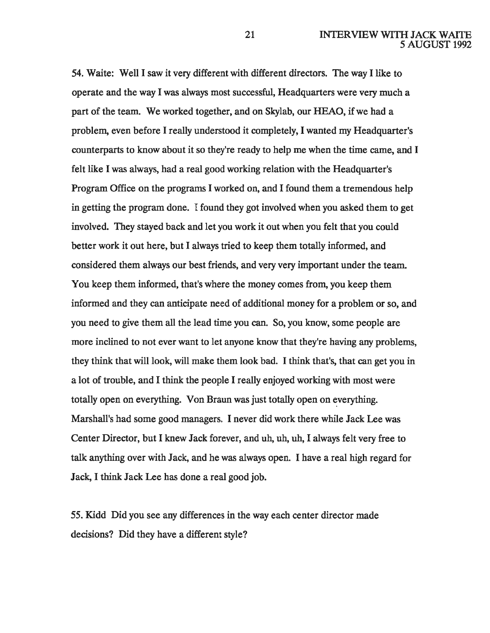54. Waite: Well I saw it very different with different directors. The way I like to operate and the way I was always most successful, Headquarters were very much a part of the team. We worked together, and on Skylab, our HEAO, if we had a problem, even before I really understood it completely, I wanted my Headquarter's counterparts to know about it so they're ready to help me when the time came, and I felt like I was always, had a real good working relation with the Headquarter's Program Office on the programs I worked on, and I found them a tremendous help in getting the program done. I found they got involved when you asked them to get involved. They stayed back and let you work it out when you felt that you could better work it out here, but I always tried to keep them totally informed, and considered them always our best friends, and very very important under the team. You keep them informed, that's where the money comes from, you keep them informed and they can anticipate need of additional money for a problem or so, and you need to give them all the lead time you can. So, you know, some people are more inclined to not ever want to let anyone know that they're having any problems, they think that will look, will make them look bad. I think that's, that can get you in a lot of trouble, and I think the people I really enjoyed working with most were totally open on everything. Von Braun was just totally open on everything. Marshall's had some good managers. I never did work there while Jack Lee was Center Director, but I knew Jack forever, and uh, uh, uh, I always felt very free to talk anything over with Jack, and he was always open. I have a real high regard for Jack, I think Jack Lee has done a real good job.

55. Kidd Did you see any differences in the way each center director made decisions? Did they have a different style?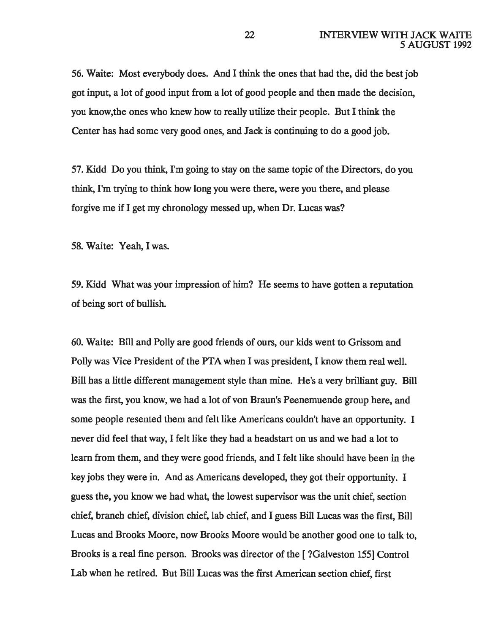56. Waite: Most everybody does. And I think the ones that had the, did the best job got input, a lot of good input from a lot of good people and then made the decision, you know, the ones who knew how to really utilize their people. But I think the Center has had some very good ones, and Jack is continuing to do a good job.

57. Kidd Do you think, I'm going to stay on the same topic of the Directors, do you think, I'm trying to think how long you were there, were you there, and please forgive me if I get my chronology messed up, when Dr. Lucas was?

58. Waite: Yeah, I was.

59. Kidd What was your impression of him? He seems to have gotten a reputation of being sort of bullish.

60. Waite: Bill and Polly are good friends of ours, our kids went to Grissom and Polly was Vice President of the PTA when I was president, I know them real well. Bill has a little different management style than mine. He's a very brilliant guy. Bill was the first, you know, we had a lot of von Braun's Peenemuende group here, and some people resented them and felt like Americans couldn't have an opportunity. I never did feel that way, I felt like they had a headstart on us and we had a lot to learn from them, and they were good friends, and I felt like should have been in the key jobs they were in. And as Americans developed, they got their opportunity. I guess the, you know we had what, the lowest supervisor was the unit chief, section chief, branch chief, division chief, lab chief, and I guess Bill Lucas was the first, Bill Lucas and Brooks Moore, now Brooks Moore would be another good one to talk to, Brooks is a real fine person. Brooks was director of the [ ?Galveston 155] Control Lab when he retired. But Bill Lucas was the first American section chief, first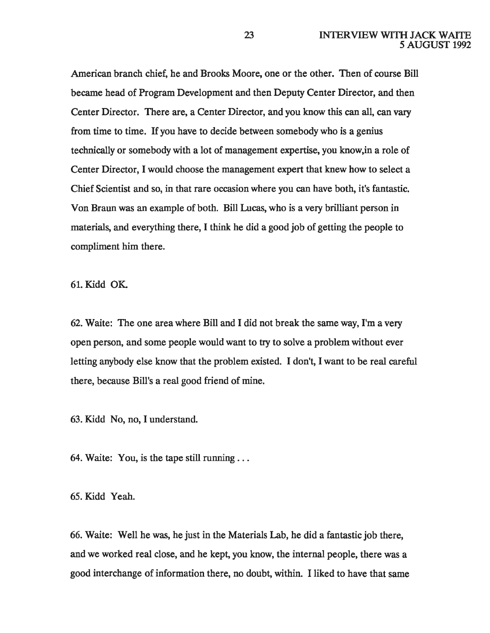American branch chief, he and Brooks Moore, one or the other. Then of course Bill became head of Program Development and then Deputy Center Director, and then Center Director. There are, a Center Director, and you know this can all, can vary from time to time. If you have to decide between somebody who is a genius technically or somebody with a lot of management expertise, you know,in a role of Center Director, I would choose the management expert that knew how to select a Chief Scientist and so, in that rare occasion where you can have both, it's fantastic. Von Braun was an example of both. Bill Lucas, who is a very brilliant person in materials, and everything there, I think he did a good job of getting the people to compliment him there.

61. Kidd OK.

62. Waite: The one area where Bill and I did not break the same way, I'm a very open person, and some people would want to try to solve a problem without ever letting anybody else know that the problem existed. I don't, I want to be real careful there, because Bill's a real good friend of mine.

63. Kidd No, no, I understand.

64. Waite: You, is the tape still running ...

65. Kidd Yeah.

66. Waite: Well he was, he just in the Materials Lab, he did a fantastic job there, and we worked real close, and he kept, you know, the internal people, there was a good interchange of information there, no doubt, within. I liked to have that same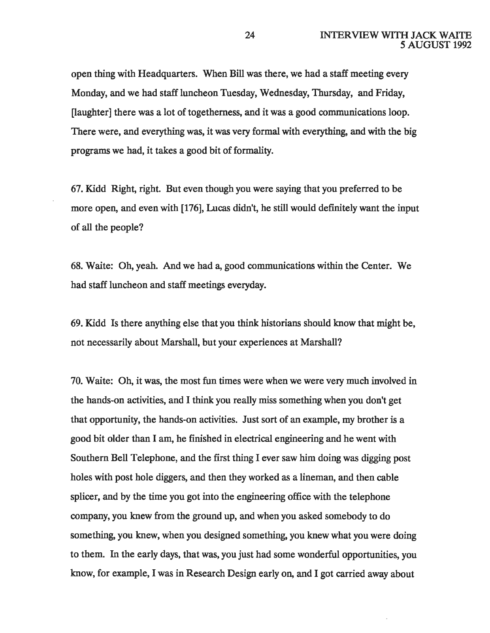open thing with Headquarters. When Bill was there, we had a staff meeting every Monday, and we had staff luncheon Tuesday, Wednesday, Thursday, and Friday, [laughter] there was a lot of togetherness, and it was a good communications loop. There were, and everything was, it was very formal with everything, and with the big programs we had, it takes a good bit of formality.

67. Kidd Right, right. But even though you were saying that you preferred to be more open, and even with [176], Lucas didn't, he still would definitely want the input of all the people?

68. Waite: Oh, yeah. And we had a, good communications within the Center. We had staff luncheon and staff meetings everyday.

69. Kidd Is there anything else that you think historians should know that might be, not necessarily about Marshall, but your experiences at Marshall?

70. Waite: Oh, it was, the most fun times were when we were very much involved in the hands-on activities, and I think you really miss something when you don't get that opportunity, the hands-on activities. Just sort of an example, my brother is a good bit older than I am, he finished in electrical engineering and he went with Southern Bell Telephone, and the first thing I ever saw him doing was digging post holes with post hole diggers, and then they worked as a lineman, and then cable splicer, and by the time you got into the engineering office with the telephone company, you knew from the ground up, and when you asked somebody to do something, you knew, when you designed something, you knew what you were doing to them. In the early days, that was, you just had some wonderful opportunities, you know, for example, I was in Research Design early on, and I got carried away about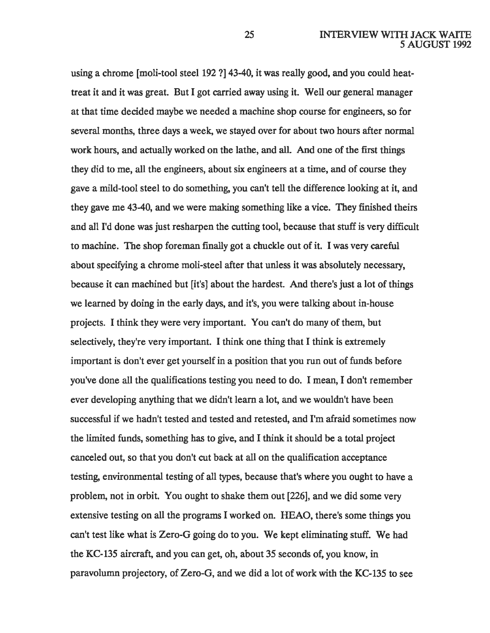using a chrome [moli-tool steel 192 ?] 43-40, it was really good, and you could heattreat it and it was great. But I got carried away using it. Well our general manager at that time decided maybe we needed a machine shop course for engineers, so for several months, three days a week, we stayed over for about two hours after normal work hours, and actually worked on the lathe, and all. And one of the first things they did to me, all the engineers, about six engineers at a time, and of course they gave a mild-tool steel to do something, you can't tell the difference looking at it, and they gave me 43-40, and we were making something like a vice. They finished theirs and aJl I'd done was just resharpen the cutting tool, because that stuff is very difficult to machine. The shop foreman finally got a chuckle out of it. I was very careful about specifying a chrome moli-steel after that unless it was absolutely necessary, because it can machined but [it's] about the hardest. And there's just a lot of things we learned by doing in the early days, and it's, you were talking about in-house projects. I think they were very important. You can't do many of them, but selectively, they're very important. I think one thing that I think is extremely important is don't ever get yourself in a position that you run out of funds before you've done all the qualifications testing you need to do. I mean, I don't remember ever developing anything that we didn't learn a lot, and we wouldn't have been successful if we hadn't tested and tested and retested, and I'm afraid sometimes now the limited funds, something has to give, and I think it should be a total project canceled out, so that you don't cut back at all on the qualification acceptance testing, environmental testing of all types, because that's where you ought to have a problem, not in orbit. You ought to shake them out [226], and we did some very extensive testing on all the programs I worked on. HEAO, there's some things you can't test like what is Zero-G going do to you. We kept eliminating stuff. We had the KC-135 aircraft, and you can get, oh, about 35 seconds of, you know, in paravolumn projectory, of Zero-G, and we did a lot of work with the KC-135 to see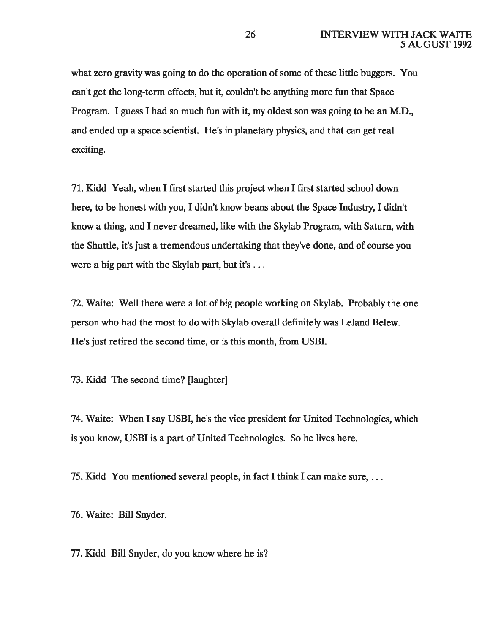what zero gravity was going to do the operation of some of these little buggers. You can't get the long-term effects, but it, couldn't be anything more fun that Space Program. I guess I had so much fun with it, my oldest son was going to be an M.D., and ended up a space scientist. He's in planetary physics, and that can get real exciting.

71. Kidd Yeah, when I first started this project when I first started school down here, to be honest with you, I didn't know beans about the Space Industry, I didn't know a thing, and I never dreamed, like with the Skylab Program, with Saturn, with the Shuttle, it's just a tremendous undertaking that they've done, and of course you were a big part with the Skylab part, but it's ...

72. Waite: Well there were a lot of big people working on Skylab. Probably the one person who had the most to do with Skylab overall definitely was Leland Belew. He's just retired the second time, or is this month, from USBI.

73. Kidd The second time? [laughter]

74. Waite: When I say USBI, he's the vice president for United Technologies, which is you know, USBI is a part of United Technologies. So he lives here.

75. Kidd You mentioned several people, in fact I think I can make sure, ...

76. Waite: Bill Snyder.

77. Kidd Bill Snyder, do you know where he is?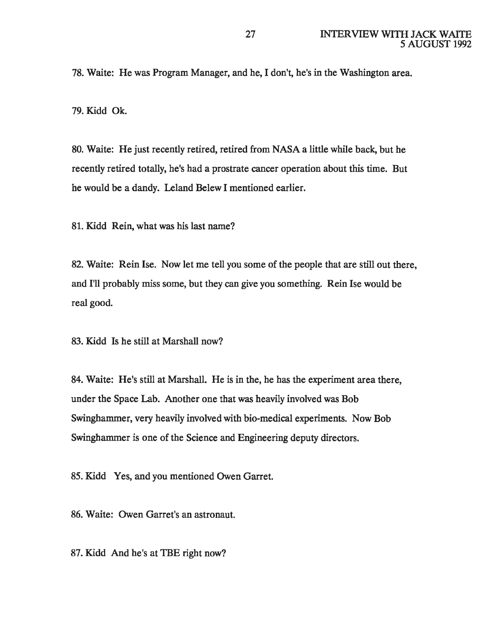78. Waite: He was Program Manager, and he, I don't, he's in the Washington area.

79. Kidd Ok.

80. Waite: He just recently retired, retired from NASA a little while back, but he recently retired totally, he's had a prostrate cancer operation about this time. But he would be a dandy. Leland Belew I mentioned earlier.

81. Kidd Rein, what was his last name?

82. Waite: Rein Ise. Now let me tell you some of the people that are still out there, and I'll probably miss some, but they can give you something. Rein Ise would be real good.

83. Kidd Is he still at Marshall now?

84. Waite: He's still at Marshall. He is in the, he has the experiment area there, under the Space Lab. Another one that was heavily involved was Bob Swinghammer, very heavily involved with bio-medical experiments. Now Bob Swinghammer is one of the Science and Engineering deputy directors.

85. Kidd Yes, and you mentioned Owen Garret.

86. Waite: Owen Garret's an astronaut.

87. Kidd And he's at TBE right now?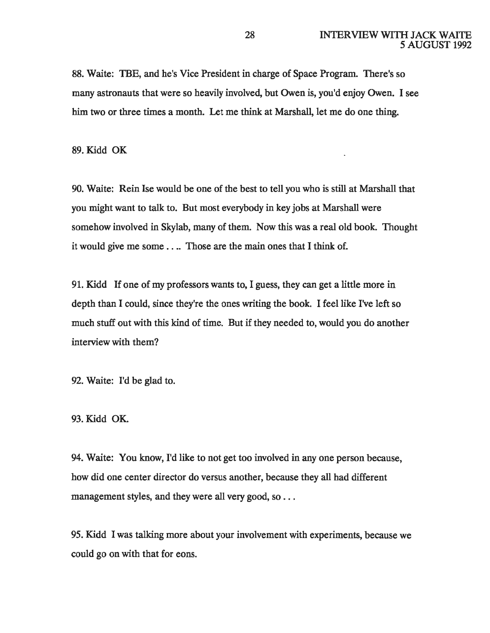88. Waite: TBE, and he's Vice President in charge of Space Program. There's so many astronauts that were so heavily involved, but Owen is, you'd enjoy Owen. I see him two or three times a month. Let me think at Marshall, let me do one thing.

89. Kidd OK

90. Waite: Rein Ise would be one of the best to tell you who is still at Marshall that you might want to talk to. But most everybody in key jobs at Marshall were somehow involved in Skylab, many of them. Now this was a real old book. Thought it would give me some . . .. Those are the main ones that I think of.

91. Kidd If one of my professors wants to, I guess, they can get a little more in depth than I could, since they're the ones writing the book. I feel like I've left so much stuff out with this kind of time. But if they needed to, would you do another interview with them?

92. Waite: I'd be glad to.

93.Kidd OK.

94. Waite: You know, I'd like to not get too involved in any one person because, how did one center director do versus another, because they all had different management styles, and they were all very good, so . . .

95. Kidd I was talking more about your involvement with experiments, because we could go on with that for eons.